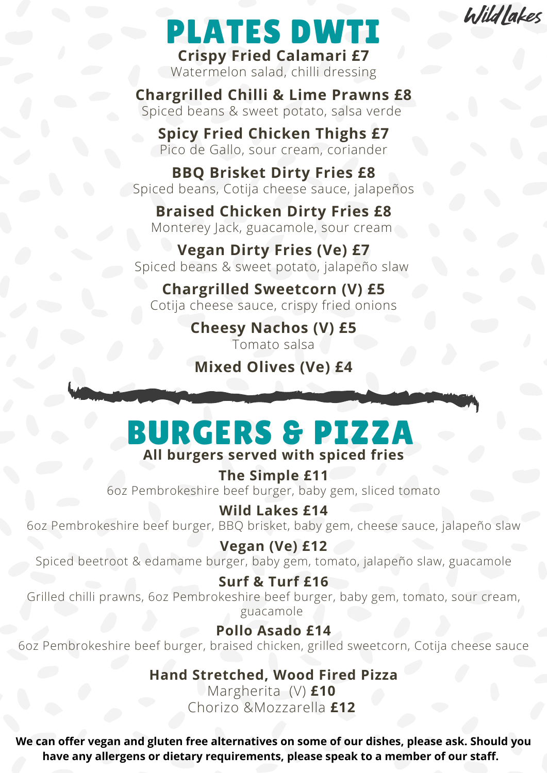**Wildlakes** 

# PLATES DWTI

**Crispy Fried Calamari £7** Watermelon salad, chilli dressing

**Chargrilled Chilli & Lime Prawns £8** Spiced beans & sweet potato, salsa verde

**Spicy Fried Chicken Thighs £7** Pico de Gallo, sour cream, coriander

**BBQ Brisket Dirty Fries £8** Spiced beans, Cotija cheese sauce, jalapeños

**Braised Chicken Dirty Fries £8** Monterey Jack, guacamole, sour cream

**Vegan Dirty Fries (Ve) £7** Spiced beans & sweet potato, jalapeño slaw

**Chargrilled Sweetcorn (V) £5** Cotija cheese sauce, crispy fried onions

> **Cheesy Nachos (V) £5** Tomato salsa

**Mixed Olives (Ve) £4**

### **All burgers served with spiced fries** BURGERS & PIZZA

**The Simple £11** 6oz Pembrokeshire beef burger, baby gem, sliced tomato

**Wild Lakes £14** 6oz Pembrokeshire beef burger, BBQ brisket, baby gem, cheese sauce, jalapeño slaw

**Vegan (Ve) £12** Spiced beetroot & edamame burger, baby gem, tomato, jalapeño slaw, guacamole

**Surf & Turf £16** Grilled chilli prawns, 6oz Pembrokeshire beef burger, baby gem, tomato, sour cream, guacamole

**Pollo Asado £14** 6oz Pembrokeshire beef burger, braised chicken, grilled sweetcorn, Cotija cheese sauce

> **Hand Stretched, Wood Fired Pizza** Margherita (V) **£10** Chorizo &Mozzarella **£12**

**We can offer vegan and gluten free alternatives on some of our dishes, please ask. Should you have any allergens or dietary requirements, please speak to a member of our staff.**